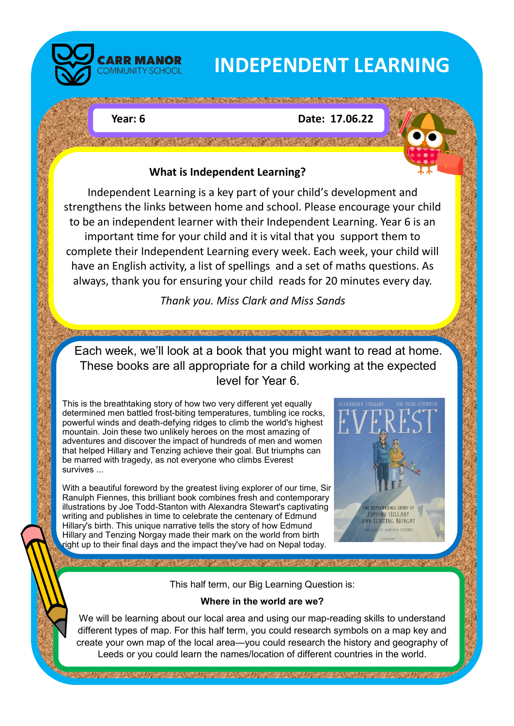

# **INDEPENDENT LEARNING**

### **Year: 6 Date: 17.06.22**



Independent Learning is a key part of your child's development and strengthens the links between home and school. Please encourage your child to be an independent learner with their Independent Learning. Year 6 is an important time for your child and it is vital that you support them to complete their Independent Learning every week. Each week, your child will have an English activity, a list of spellings and a set of maths questions. As always, thank you for ensuring your child reads for 20 minutes every day.

*Thank you. Miss Clark and Miss Sands*

Each week, we'll look at a book that you might want to read at home. These books are all appropriate for a child working at the expected level for Year 6.

This is the breathtaking story of how two very different yet equally determined men battled frost-biting temperatures, tumbling ice rocks, powerful winds and death-defying ridges to climb the world's highest mountain. Join these two unlikely heroes on the most amazing of adventures and discover the impact of hundreds of men and women that helped Hillary and Tenzing achieve their goal. But triumphs can be marred with tragedy, as not everyone who climbs Everest survives ...

With a beautiful foreword by the greatest living explorer of our time, Sir Ranulph Fiennes, this brilliant book combines fresh and contemporary illustrations by Joe Todd-Stanton with Alexandra Stewart's captivating writing and publishes in time to celebrate the centenary of Edmund Hillary's birth. This unique narrative tells the story of how Edmund Hillary and Tenzing Norgay made their mark on the world from birth right up to their final days and the impact they've had on Nepal today.



This half term, our Big Learning Question is:

#### **Where in the world are we?**

We will be learning about our local area and using our map-reading skills to understand different types of map. For this half term, you could research symbols on a map key and create your own map of the local area—you could research the history and geography of Leeds or you could learn the names/location of different countries in the world.